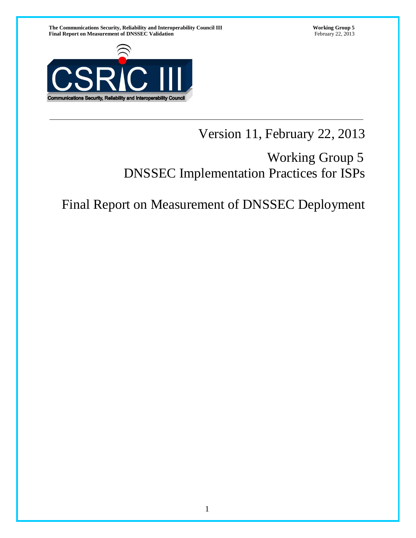

# Version 11, February 22, 2013

# Working Group 5 DNSSEC Implementation Practices for ISPs

# Final Report on Measurement of DNSSEC Deployment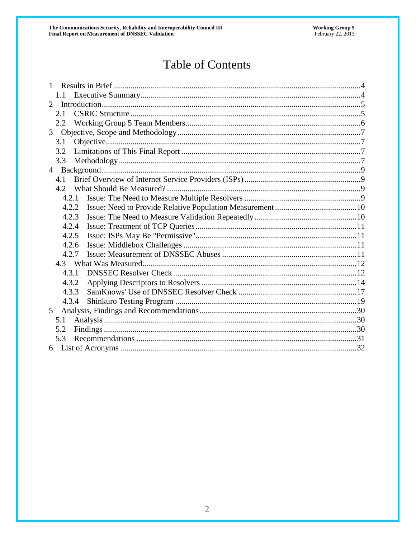# Table of Contents

| $\mathbf{1}$                |       |  |  |  |  |  |  |
|-----------------------------|-------|--|--|--|--|--|--|
|                             | 1.1   |  |  |  |  |  |  |
| $\mathcal{D}_{\mathcal{L}}$ |       |  |  |  |  |  |  |
|                             | 2.1   |  |  |  |  |  |  |
|                             | 2.2   |  |  |  |  |  |  |
| 3 <sup>1</sup>              |       |  |  |  |  |  |  |
|                             | 3.1   |  |  |  |  |  |  |
|                             | 3.2   |  |  |  |  |  |  |
|                             | 3.3   |  |  |  |  |  |  |
| 4 <sup>1</sup>              |       |  |  |  |  |  |  |
|                             | 4.1   |  |  |  |  |  |  |
|                             | 4.2   |  |  |  |  |  |  |
|                             | 4.2.1 |  |  |  |  |  |  |
|                             | 4.2.2 |  |  |  |  |  |  |
|                             | 4.2.3 |  |  |  |  |  |  |
|                             | 4.2.4 |  |  |  |  |  |  |
|                             | 4.2.5 |  |  |  |  |  |  |
|                             | 4.2.6 |  |  |  |  |  |  |
|                             | 4.2.7 |  |  |  |  |  |  |
|                             |       |  |  |  |  |  |  |
|                             | 4.3.1 |  |  |  |  |  |  |
|                             | 4.3.2 |  |  |  |  |  |  |
|                             | 4.3.3 |  |  |  |  |  |  |
|                             | 4.3.4 |  |  |  |  |  |  |
| 5                           |       |  |  |  |  |  |  |
|                             | 5.1   |  |  |  |  |  |  |
|                             | 5.2   |  |  |  |  |  |  |
|                             | 5.3   |  |  |  |  |  |  |
|                             |       |  |  |  |  |  |  |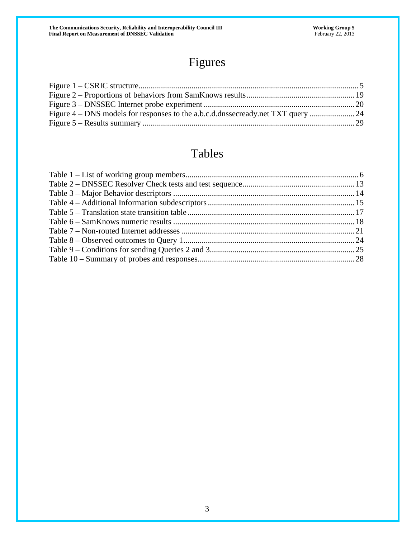# Figures

# Tables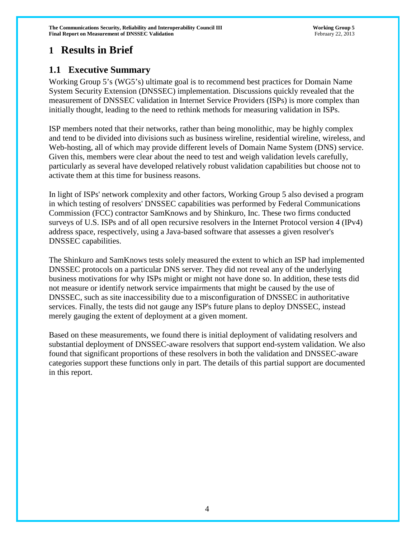The Communications Security, Reliability and Interoperability Council III **Working Group 5** Working Group 5 **Final Report on Measurement of DNSSEC Validation** February 22, 2013

# **1 Results in Brief**

# **1.1 Executive Summary**

Working Group 5's (WG5's) ultimate goal is to recommend best practices for Domain Name System Security Extension (DNSSEC) implementation. Discussions quickly revealed that the measurement of DNSSEC validation in Internet Service Providers (ISPs) is more complex than initially thought, leading to the need to rethink methods for measuring validation in ISPs.

ISP members noted that their networks, rather than being monolithic, may be highly complex and tend to be divided into divisions such as business wireline, residential wireline, wireless, and Web-hosting, all of which may provide different levels of Domain Name System (DNS) service. Given this, members were clear about the need to test and weigh validation levels carefully, particularly as several have developed relatively robust validation capabilities but choose not to activate them at this time for business reasons.

In light of ISPs' network complexity and other factors, Working Group 5 also devised a program in which testing of resolvers' DNSSEC capabilities was performed by Federal Communications Commission (FCC) contractor SamKnows and by Shinkuro, Inc. These two firms conducted surveys of U.S. ISPs and of all open recursive resolvers in the Internet Protocol version 4 (IPv4) address space, respectively, using a Java-based software that assesses a given resolver's DNSSEC capabilities.

The Shinkuro and SamKnows tests solely measured the extent to which an ISP had implemented DNSSEC protocols on a particular DNS server. They did not reveal any of the underlying business motivations for why ISPs might or might not have done so. In addition, these tests did not measure or identify network service impairments that might be caused by the use of DNSSEC, such as site inaccessibility due to a misconfiguration of DNSSEC in authoritative services. Finally, the tests did not gauge any ISP's future plans to deploy DNSSEC, instead merely gauging the extent of deployment at a given moment.

<span id="page-3-0"></span>Based on these measurements, we found there is initial deployment of validating resolvers and substantial deployment of DNSSEC-aware resolvers that support end-system validation. We also found that significant proportions of these resolvers in both the validation and DNSSEC-aware categories support these functions only in part. The details of this partial support are documented in this report.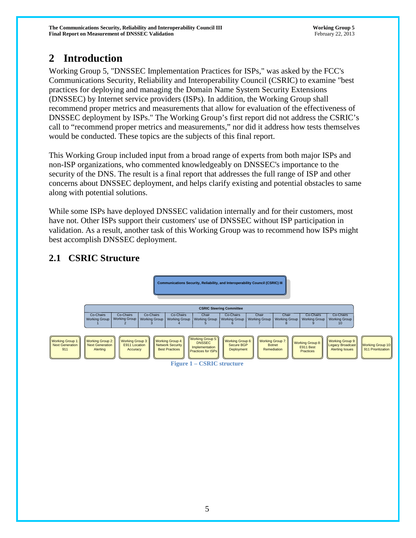# **2 Introduction**

Working Group 5, "DNSSEC Implementation Practices for ISPs," was asked by the FCC's Communications Security, Reliability and Interoperability Council (CSRIC) to examine "best practices for deploying and managing the Domain Name System Security Extensions (DNSSEC) by Internet service providers (ISPs). In addition, the Working Group shall recommend proper metrics and measurements that allow for evaluation of the effectiveness of DNSSEC deployment by ISPs." The Working Group's first report did not address the CSRIC's call to "recommend proper metrics and measurements," nor did it address how tests themselves would be conducted. These topics are the subjects of this final report.

This Working Group included input from a broad range of experts from both major ISPs and non-ISP organizations, who commented knowledgeably on DNSSEC's importance to the security of the DNS. The result is a final report that addresses the full range of ISP and other concerns about DNSSEC deployment, and helps clarify existing and potential obstacles to same along with potential solutions.

While some ISPs have deployed DNSSEC validation internally and for their customers, most have not. Other ISPs support their customers' use of DNSSEC without ISP participation in validation. As a result, another task of this Working Group was to recommend how ISPs might best accomplish DNSSEC deployment.

# **2.1 CSRIC Structure**

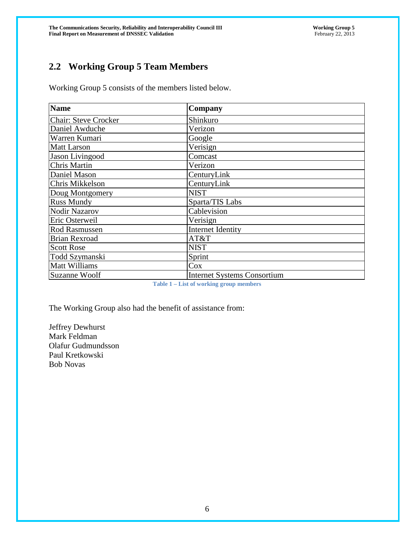# **2.2 Working Group 5 Team Members**

Working Group 5 consists of the members listed below.

| Name                        | Company                            |
|-----------------------------|------------------------------------|
| <b>Chair: Steve Crocker</b> | Shinkuro                           |
| Daniel Awduche              | Verizon                            |
| Warren Kumari               | Google                             |
| <b>Matt Larson</b>          | Verisign                           |
| Jason Livingood             | Comcast                            |
| Chris Martin                | Verizon                            |
| Daniel Mason                | CenturyLink                        |
| Chris Mikkelson             | CenturyLink                        |
| Doug Montgomery             | <b>NIST</b>                        |
| <b>Russ Mundy</b>           | Sparta/TIS Labs                    |
| <b>Nodir Nazarov</b>        | Cablevision                        |
| Eric Osterweil              | Verisign                           |
| Rod Rasmussen               | Internet Identity                  |
| <b>Brian Rexroad</b>        | AT&T                               |
| <b>Scott Rose</b>           | <b>NIST</b>                        |
| Todd Szymanski              | Sprint                             |
| Matt Williams               | Cox                                |
| Suzanne Woolf               | <b>Internet Systems Consortium</b> |

**Table 1 – List of working group members**

The Working Group also had the benefit of assistance from:

Jeffrey Dewhurst Mark Feldman Olafur Gudmundsson Paul Kretkowski Bob Novas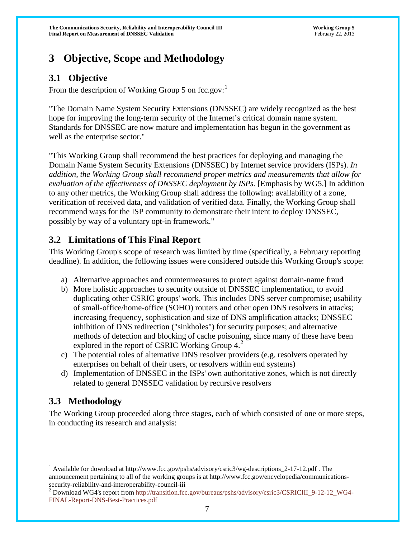# **3 Objective, Scope and Methodology**

# **3.1 Objective**

From the description of Working Group 5 on fcc.gov:

"The Domain Name System Security Extensions (DNSSEC) are widely recognized as the best hope for improving the long-term security of the Internet's critical domain name system. Standards for DNSSEC are now mature and implementation has begun in the government as well as the enterprise sector."

"This Working Group shall recommend the best practices for deploying and managing the Domain Name System Security Extensions (DNSSEC) by Internet service providers (ISPs). *In addition, the Working Group shall recommend proper metrics and measurements that allow for evaluation of the effectiveness of DNSSEC deployment by ISPs.* [Emphasis by WG5.] In addition to any other metrics, the Working Group shall address the following: availability of a zone, verification of received data, and validation of verified data. Finally, the Working Group shall recommend ways for the ISP community to demonstrate their intent to deploy DNSSEC, possibly by way of a voluntary opt-in framework."

# **3.2 Limitations of This Final Report**

This Working Group's scope of research was limited by time (specifically, a February reporting deadline). In addition, the following issues were considered outside this Working Group's scope:

- a) Alternative approaches and countermeasures to protect against domain-name fraud
- b) More holistic approaches to security outside of DNSSEC implementation, to avoid duplicating other CSRIC groups' work. This includes DNS server compromise; usability of small-office/home-office (SOHO) routers and other open DNS resolvers in attacks; increasing frequency, sophistication and size of DNS amplification attacks; DNSSEC inhibition of DNS redirection ("sinkholes") for security purposes; and alternative methods of detection and blocking of cache poisoning, since many of these have been explored in the report of CSRIC Working Group  $4<sup>2</sup>$  $4<sup>2</sup>$  $4<sup>2</sup>$ .
- c) The potential roles of alternative DNS resolver providers (e.g. resolvers operated by enterprises on behalf of their users, or resolvers within end systems)
- d) Implementation of DNSSEC in the ISPs' own authoritative zones, which is not directly related to general DNSSEC validation by recursive resolvers

# **3.3 Methodology**

The Working Group proceeded along three stages, each of which consisted of one or more steps, in conducting its research and analysis:

<sup>&</sup>lt;sup>1</sup> Available for download at [http://www.fcc.gov/pshs/advisory/csric3/wg-descriptions\\_2-17-12.pdf](http://www.fcc.gov/pshs/advisory/csric3/wg-descriptions_2-17-12.pdf) . The announcement pertaining to all of the working groups is at [http://www.fcc.gov/encyclopedia/communications-](http://www.fcc.gov/encyclopedia/communications-security-reliability-and-interoperability-council-iii)

<span id="page-6-0"></span>[security-reliability-and-interoperability-council-iii](http://www.fcc.gov/encyclopedia/communications-security-reliability-and-interoperability-council-iii)<br>
<sup>2</sup> Download WG4's report from [http://transition.fcc.gov/bureaus/pshs/advisory/csric3/CSRICIII\\_9-12-12\\_WG4-](http://transition.fcc.gov/bureaus/pshs/advisory/csric3/CSRICIII_9-12-12_WG4-FINAL-Report-DNS-Best-Practices.pdf) [FINAL-Report-DNS-Best-Practices.pdf](http://transition.fcc.gov/bureaus/pshs/advisory/csric3/CSRICIII_9-12-12_WG4-FINAL-Report-DNS-Best-Practices.pdf)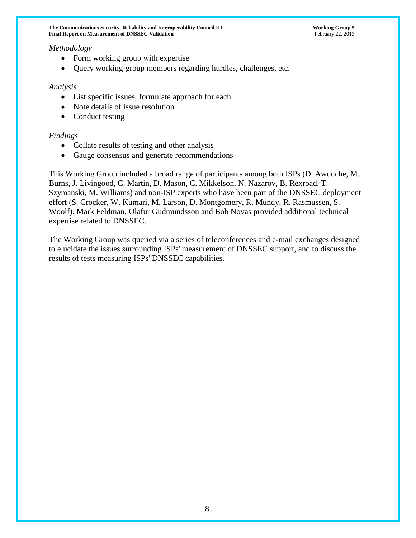#### *Methodology*

- Form working group with expertise
- Query working-group members regarding hurdles, challenges, etc.

#### *Analysis*

- List specific issues, formulate approach for each
- Note details of issue resolution
- Conduct testing

#### *Findings*

- Collate results of testing and other analysis
- Gauge consensus and generate recommendations

This Working Group included a broad range of participants among both ISPs (D. Awduche, M. Burns, J. Livingood, C. Martin, D. Mason, C. Mikkelson, N. Nazarov, B. Rexroad, T. Szymanski, M. Williams) and non-ISP experts who have been part of the DNSSEC deployment effort (S. Crocker, W. Kumari, M. Larson, D. Montgomery, R. Mundy, R. Rasmussen, S. Woolf). Mark Feldman, Olafur Gudmundsson and Bob Novas provided additional technical expertise related to DNSSEC.

The Working Group was queried via a series of teleconferences and e-mail exchanges designed to elucidate the issues surrounding ISPs' measurement of DNSSEC support, and to discuss the results of tests measuring ISPs' DNSSEC capabilities.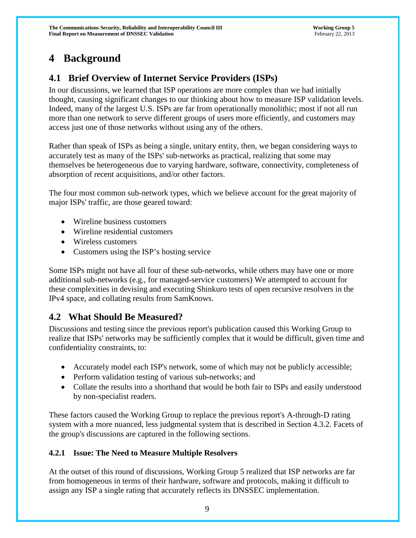# **4 Background**

# **4.1 Brief Overview of Internet Service Providers (ISPs)**

In our discussions, we learned that ISP operations are more complex than we had initially thought, causing significant changes to our thinking about how to measure ISP validation levels. Indeed, many of the largest U.S. ISPs are far from operationally monolithic; most if not all run more than one network to serve different groups of users more efficiently, and customers may access just one of those networks without using any of the others.

Rather than speak of ISPs as being a single, unitary entity, then, we began considering ways to accurately test as many of the ISPs' sub-networks as practical, realizing that some may themselves be heterogeneous due to varying hardware, software, connectivity, completeness of absorption of recent acquisitions, and/or other factors.

The four most common sub-network types, which we believe account for the great majority of major ISPs' traffic, are those geared toward:

- Wireline business customers
- Wireline residential customers
- Wireless customers
- Customers using the ISP's hosting service

Some ISPs might not have all four of these sub-networks, while others may have one or more additional sub-networks (e.g., for managed-service customers) We attempted to account for these complexities in devising and executing Shinkuro tests of open recursive resolvers in the IPv4 space, and collating results from SamKnows.

# **4.2 What Should Be Measured?**

Discussions and testing since the previous report's publication caused this Working Group to realize that ISPs' networks may be sufficiently complex that it would be difficult, given time and confidentiality constraints, to:

- Accurately model each ISP's network, some of which may not be publicly accessible;
- Perform validation testing of various sub-networks; and
- Collate the results into a shorthand that would be both fair to ISPs and easily understood by non-specialist readers.

These factors caused the Working Group to replace the previous report's A-through-D rating system with a more nuanced, less judgmental system that is described in Section 4.3.2. Facets of the group's discussions are captured in the following sections.

# **4.2.1 Issue: The Need to Measure Multiple Resolvers**

At the outset of this round of discussions, Working Group 5 realized that ISP networks are far from homogeneous in terms of their hardware, software and protocols, making it difficult to assign any ISP a single rating that accurately reflects its DNSSEC implementation.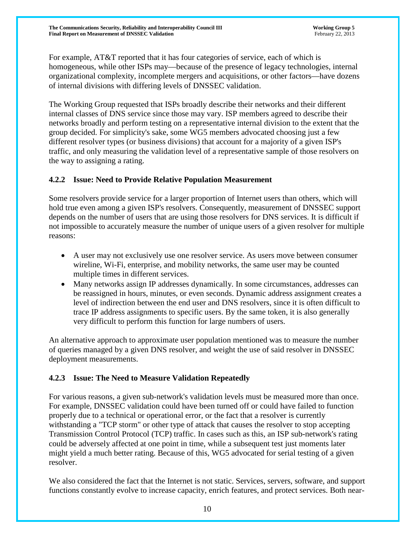**The Communications Security, Reliability and Interoperability Council III Working Group 5 Final Report on Measurement of DNSSEC Validation** February 22, 2013

For example, AT&T reported that it has four categories of service, each of which is homogeneous, while other ISPs may—because of the presence of legacy technologies, internal organizational complexity, incomplete mergers and acquisitions, or other factors—have dozens of internal divisions with differing levels of DNSSEC validation.

The Working Group requested that ISPs broadly describe their networks and their different internal classes of DNS service since those may vary. ISP members agreed to describe their networks broadly and perform testing on a representative internal division to the extent that the group decided. For simplicity's sake, some WG5 members advocated choosing just a few different resolver types (or business divisions) that account for a majority of a given ISP's traffic, and only measuring the validation level of a representative sample of those resolvers on the way to assigning a rating.

#### **4.2.2 Issue: Need to Provide Relative Population Measurement**

Some resolvers provide service for a larger proportion of Internet users than others, which will hold true even among a given ISP's resolvers. Consequently, measurement of DNSSEC support depends on the number of users that are using those resolvers for DNS services. It is difficult if not impossible to accurately measure the number of unique users of a given resolver for multiple reasons:

- A user may not exclusively use one resolver service. As users move between consumer wireline, Wi-Fi, enterprise, and mobility networks, the same user may be counted multiple times in different services.
- Many networks assign IP addresses dynamically. In some circumstances, addresses can be reassigned in hours, minutes, or even seconds. Dynamic address assignment creates a level of indirection between the end user and DNS resolvers, since it is often difficult to trace IP address assignments to specific users. By the same token, it is also generally very difficult to perform this function for large numbers of users.

An alternative approach to approximate user population mentioned was to measure the number of queries managed by a given DNS resolver, and weight the use of said resolver in DNSSEC deployment measurements.

#### **4.2.3 Issue: The Need to Measure Validation Repeatedly**

For various reasons, a given sub-network's validation levels must be measured more than once. For example, DNSSEC validation could have been turned off or could have failed to function properly due to a technical or operational error, or the fact that a resolver is currently withstanding a "TCP storm" or other type of attack that causes the resolver to stop accepting Transmission Control Protocol (TCP) traffic. In cases such as this, an ISP sub-network's rating could be adversely affected at one point in time, while a subsequent test just moments later might yield a much better rating. Because of this, WG5 advocated for serial testing of a given resolver.

We also considered the fact that the Internet is not static. Services, servers, software, and support functions constantly evolve to increase capacity, enrich features, and protect services. Both near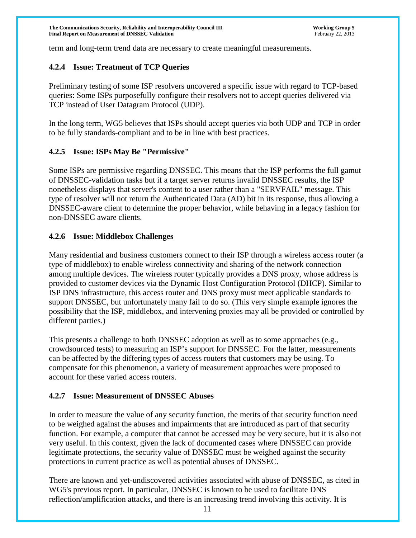term and long-term trend data are necessary to create meaningful measurements.

#### **4.2.4 Issue: Treatment of TCP Queries**

Preliminary testing of some ISP resolvers uncovered a specific issue with regard to TCP-based queries: Some ISPs purposefully configure their resolvers not to accept queries delivered via TCP instead of User Datagram Protocol (UDP).

In the long term, WG5 believes that ISPs should accept queries via both UDP and TCP in order to be fully standards-compliant and to be in line with best practices.

#### **4.2.5 Issue: ISPs May Be "Permissive"**

Some ISPs are permissive regarding DNSSEC. This means that the ISP performs the full gamut of DNSSEC-validation tasks but if a target server returns invalid DNSSEC results, the ISP nonetheless displays that server's content to a user rather than a "SERVFAIL" message. This type of resolver will not return the Authenticated Data (AD) bit in its response, thus allowing a DNSSEC-aware client to determine the proper behavior, while behaving in a legacy fashion for non-DNSSEC aware clients.

#### **4.2.6 Issue: Middlebox Challenges**

Many residential and business customers connect to their ISP through a wireless access router (a type of middlebox) to enable wireless connectivity and sharing of the network connection among multiple devices. The wireless router typically provides a DNS proxy, whose address is provided to customer devices via the Dynamic Host Configuration Protocol (DHCP). Similar to ISP DNS infrastructure, this access router and DNS proxy must meet applicable standards to support DNSSEC, but unfortunately many fail to do so. (This very simple example ignores the possibility that the ISP, middlebox, and intervening proxies may all be provided or controlled by different parties.)

This presents a challenge to both DNSSEC adoption as well as to some approaches (e.g., crowdsourced tests) to measuring an ISP's support for DNSSEC. For the latter, measurements can be affected by the differing types of access routers that customers may be using. To compensate for this phenomenon, a variety of measurement approaches were proposed to account for these varied access routers.

#### **4.2.7 Issue: Measurement of DNSSEC Abuses**

In order to measure the value of any security function, the merits of that security function need to be weighed against the abuses and impairments that are introduced as part of that security function. For example, a computer that cannot be accessed may be very secure, but it is also not very useful. In this context, given the lack of documented cases where DNSSEC can provide legitimate protections, the security value of DNSSEC must be weighed against the security protections in current practice as well as potential abuses of DNSSEC.

There are known and yet-undiscovered activities associated with abuse of DNSSEC, as cited in WG5's previous report. In particular, DNSSEC is known to be used to facilitate DNS reflection/amplification attacks, and there is an increasing trend involving this activity. It is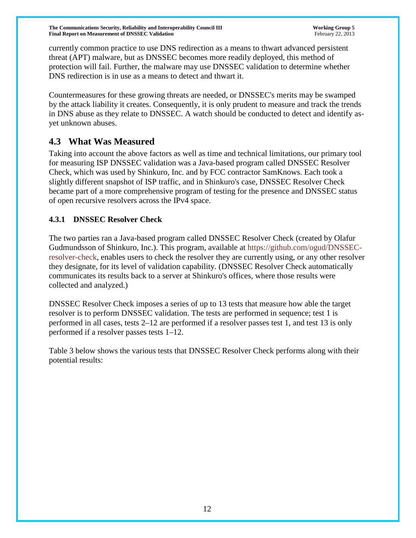currently common practice to use DNS redirection as a means to thwart advanced persistent threat (APT) malware, but as DNSSEC becomes more readily deployed, this method of protection will fail. Further, the malware may use DNSSEC validation to determine whether DNS redirection is in use as a means to detect and thwart it.

Countermeasures for these growing threats are needed, or DNSSEC's merits may be swamped by the attack liability it creates. Consequently, it is only prudent to measure and track the trends in DNS abuse as they relate to DNSSEC. A watch should be conducted to detect and identify asyet unknown abuses.

# **4.3 What Was Measured**

Taking into account the above factors as well as time and technical limitations, our primary tool for measuring ISP DNSSEC validation was a Java-based program called DNSSEC Resolver Check, which was used by Shinkuro, Inc. and by FCC contractor SamKnows. Each took a slightly different snapshot of ISP traffic, and in Shinkuro's case, DNSSEC Resolver Check became part of a more comprehensive program of testing for the presence and DNSSEC status of open recursive resolvers across the IPv4 space.

### **4.3.1 DNSSEC Resolver Check**

The two parties ran a Java-based program called DNSSEC Resolver Check (created by Olafur Gudmundsson of Shinkuro, Inc.). This program, available at [https://github.com/ogud/DNSSEC](https://github.com/ogud/DNSSEC-resolver-check)[resolver-check,](https://github.com/ogud/DNSSEC-resolver-check) enables users to check the resolver they are currently using, or any other resolver they designate, for its level of validation capability. (DNSSEC Resolver Check automatically communicates its results back to a server at Shinkuro's offices, where those results were collected and analyzed.)

DNSSEC Resolver Check imposes a series of up to 13 tests that measure how able the target resolver is to perform DNSSEC validation. The tests are performed in sequence; test 1 is performed in all cases, tests 2–12 are performed if a resolver passes test 1, and test 13 is only performed if a resolver passes tests 1–12.

Table 3 below shows the various tests that DNSSEC Resolver Check performs along with their potential results: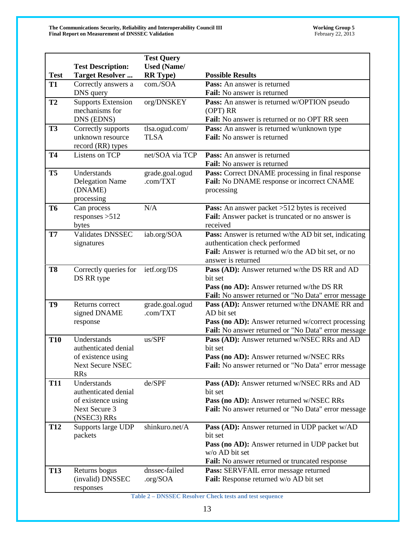|                |                                                                                                    | <b>Test Query</b>                     |                                                                                                                                                                                               |
|----------------|----------------------------------------------------------------------------------------------------|---------------------------------------|-----------------------------------------------------------------------------------------------------------------------------------------------------------------------------------------------|
| <b>Test</b>    | <b>Test Description:</b><br><b>Target Resolver</b>                                                 | <b>Used</b> (Name/<br><b>RR</b> Type) | <b>Possible Results</b>                                                                                                                                                                       |
| <b>T1</b>      | Correctly answers a                                                                                | com./SOA                              | Pass: An answer is returned                                                                                                                                                                   |
|                | DNS query                                                                                          |                                       | Fail: No answer is returned                                                                                                                                                                   |
| <b>T2</b>      | <b>Supports Extension</b><br>mechanisms for<br>DNS (EDNS)                                          | org/DNSKEY                            | Pass: An answer is returned w/OPTION pseudo<br>(OPT) RR<br>Fail: No answer is returned or no OPT RR seen                                                                                      |
| <b>T3</b>      | Correctly supports<br>unknown resource<br>record (RR) types                                        | tlsa.ogud.com/<br><b>TLSA</b>         | <b>Pass:</b> An answer is returned w/unknown type<br>Fail: No answer is returned                                                                                                              |
| <b>T4</b>      | Listens on TCP                                                                                     | net/SOA via TCP                       | <b>Pass:</b> An answer is returned<br>Fail: No answer is returned                                                                                                                             |
| <b>T5</b>      | Understands<br><b>Delegation Name</b><br>(DNAME)<br>processing                                     | grade.goal.ogud<br>.com/TXT           | Pass: Correct DNAME processing in final response<br>Fail: No DNAME response or incorrect CNAME<br>processing                                                                                  |
| <b>T6</b>      | Can process<br>responses $>512$<br>bytes                                                           | N/A                                   | <b>Pass:</b> An answer packet >512 bytes is received<br>Fail: Answer packet is truncated or no answer is<br>received                                                                          |
| <b>T7</b>      | Validates DNSSEC<br>signatures                                                                     | iab.org/SOA                           | Pass: Answer is returned w/the AD bit set, indicating<br>authentication check performed<br>Fail: Answer is returned w/o the AD bit set, or no<br>answer is returned                           |
| T <sub>8</sub> | Correctly queries for<br>DS RR type                                                                | ietf.org/DS                           | Pass (AD): Answer returned w/the DS RR and AD<br>bit set<br>Pass (no AD): Answer returned w/the DS RR<br>Fail: No answer returned or "No Data" error message                                  |
| T9             | Returns correct<br>signed DNAME<br>response                                                        | grade.goal.ogud<br>.com/TXT           | Pass (AD): Answer returned w/the DNAME RR and<br>AD bit set<br>Pass (no AD): Answer returned w/correct processing<br>Fail: No answer returned or "No Data" error message                      |
| <b>T10</b>     | Understands<br>authenticated denial<br>of existence using<br><b>Next Secure NSEC</b><br><b>RRs</b> | us/SPF                                | Pass (AD): Answer returned w/NSEC RRs and AD<br>bit set<br>Pass (no AD): Answer returned w/NSEC RRs<br>Fail: No answer returned or "No Data" error message                                    |
| <b>T11</b>     | Understands<br>authenticated denial<br>of existence using<br>Next Secure 3<br>(NSEC3) RRs          | de/SPF                                | Pass (AD): Answer returned w/NSEC RRs and AD<br>bit set<br>Pass (no AD): Answer returned w/NSEC RRs<br><b>Fail:</b> No answer returned or "No Data" error message                             |
| <b>T12</b>     | Supports large UDP<br>packets                                                                      | shinkuro.net/A                        | <b>Pass (AD):</b> Answer returned in UDP packet w/AD<br>bit set<br><b>Pass (no AD):</b> Answer returned in UDP packet but<br>w/o AD bit set<br>Fail: No answer returned or truncated response |
| <b>T13</b>     | Returns bogus<br>(invalid) DNSSEC<br>responses                                                     | dnssec-failed<br>.org/SOA             | Pass: SERVFAIL error message returned<br>Fail: Response returned w/o AD bit set                                                                                                               |

**Table 2 – DNSSEC Resolver Check tests and test sequence**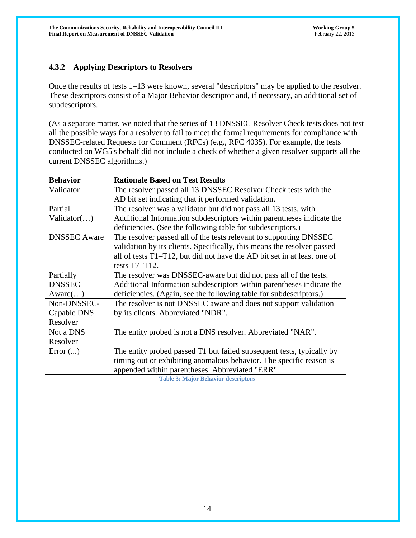# **4.3.2 Applying Descriptors to Resolvers**

Once the results of tests 1–13 were known, several "descriptors" may be applied to the resolver. These descriptors consist of a Major Behavior descriptor and, if necessary, an additional set of subdescriptors.

(As a separate matter, we noted that the series of 13 DNSSEC Resolver Check tests does not test all the possible ways for a resolver to fail to meet the formal requirements for compliance with DNSSEC-related Requests for Comment (RFCs) (e.g., RFC 4035). For example, the tests conducted on WG5's behalf did not include a check of whether a given resolver supports all the current DNSSEC algorithms.)

| <b>Behavior</b>     | <b>Rationale Based on Test Results</b>                                  |
|---------------------|-------------------------------------------------------------------------|
| Validator           | The resolver passed all 13 DNSSEC Resolver Check tests with the         |
|                     | AD bit set indicating that it performed validation.                     |
| Partial             | The resolver was a validator but did not pass all 13 tests, with        |
| Validation()        | Additional Information subdescriptors within parentheses indicate the   |
|                     | deficiencies. (See the following table for subdescriptors.)             |
| <b>DNSSEC</b> Aware | The resolver passed all of the tests relevant to supporting DNSSEC      |
|                     | validation by its clients. Specifically, this means the resolver passed |
|                     | all of tests T1-T12, but did not have the AD bit set in at least one of |
|                     | tests $T7-T12$ .                                                        |
| Partially           | The resolver was DNSSEC-aware but did not pass all of the tests.        |
| <b>DNSSEC</b>       | Additional Information subdescriptors within parentheses indicate the   |
| Aware()             | deficiencies. (Again, see the following table for subdescriptors.)      |
| Non-DNSSEC-         | The resolver is not DNSSEC aware and does not support validation        |
| Capable DNS         | by its clients. Abbreviated "NDR".                                      |
| Resolver            |                                                                         |
| Not a DNS           | The entity probed is not a DNS resolver. Abbreviated "NAR".             |
| Resolver            |                                                                         |
| Error $()$          | The entity probed passed T1 but failed subsequent tests, typically by   |
|                     | timing out or exhibiting anomalous behavior. The specific reason is     |
|                     | appended within parentheses. Abbreviated "ERR".                         |

**Table 3: Major Behavior descriptors**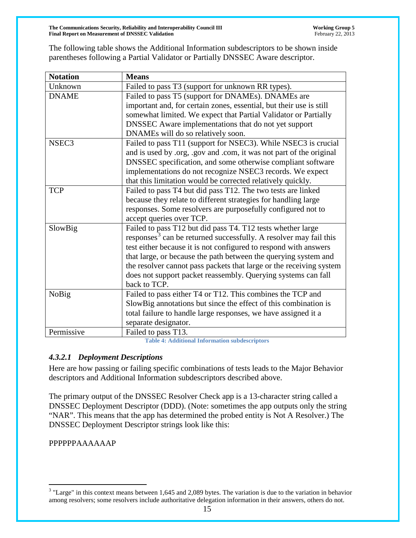The following table shows the Additional Information subdescriptors to be shown inside parentheses following a Partial Validator or Partially DNSSEC Aware descriptor.

| <b>Notation</b>   | <b>Means</b>                                                                  |
|-------------------|-------------------------------------------------------------------------------|
| Unknown           | Failed to pass T3 (support for unknown RR types).                             |
| <b>DNAME</b>      | Failed to pass T5 (support for DNAMEs). DNAMEs are                            |
|                   | important and, for certain zones, essential, but their use is still           |
|                   | somewhat limited. We expect that Partial Validator or Partially               |
|                   | DNSSEC Aware implementations that do not yet support                          |
|                   | DNAMEs will do so relatively soon.                                            |
| NSEC <sub>3</sub> | Failed to pass T11 (support for NSEC3). While NSEC3 is crucial                |
|                   | and is used by .org, .gov and .com, it was not part of the original           |
|                   | DNSSEC specification, and some otherwise compliant software                   |
|                   | implementations do not recognize NSEC3 records. We expect                     |
|                   | that this limitation would be corrected relatively quickly.                   |
| <b>TCP</b>        | Failed to pass T4 but did pass T12. The two tests are linked                  |
|                   | because they relate to different strategies for handling large                |
|                   | responses. Some resolvers are purposefully configured not to                  |
|                   | accept queries over TCP.                                                      |
| SlowBig           | Failed to pass T12 but did pass T4. T12 tests whether large                   |
|                   | responses <sup>3</sup> can be returned successfully. A resolver may fail this |
|                   | test either because it is not configured to respond with answers              |
|                   | that large, or because the path between the querying system and               |
|                   | the resolver cannot pass packets that large or the receiving system           |
|                   | does not support packet reassembly. Querying systems can fall                 |
|                   | back to TCP.                                                                  |
| <b>NoBig</b>      | Failed to pass either T4 or T12. This combines the TCP and                    |
|                   | SlowBig annotations but since the effect of this combination is               |
|                   | total failure to handle large responses, we have assigned it a                |
|                   | separate designator.                                                          |
| Permissive        | Failed to pass T13.                                                           |

**Table 4: Additional Information subdescriptors**

# *4.3.2.1 Deployment Descriptions*

Here are how passing or failing specific combinations of tests leads to the Major Behavior descriptors and Additional Information subdescriptors described above.

The primary output of the DNSSEC Resolver Check app is a 13-character string called a DNSSEC Deployment Descriptor (DDD). (Note: sometimes the app outputs only the string "NAR". This means that the app has determined the probed entity is Not A Resolver.) The DNSSEC Deployment Descriptor strings look like this:

#### PPPPPPAAAAAAP

<span id="page-14-0"></span><sup>&</sup>lt;sup>3</sup> "Large" in this context means between 1,645 and 2,089 bytes. The variation is due to the variation in behavior among resolvers; some resolvers include authoritative delegation information in their answers, others do not.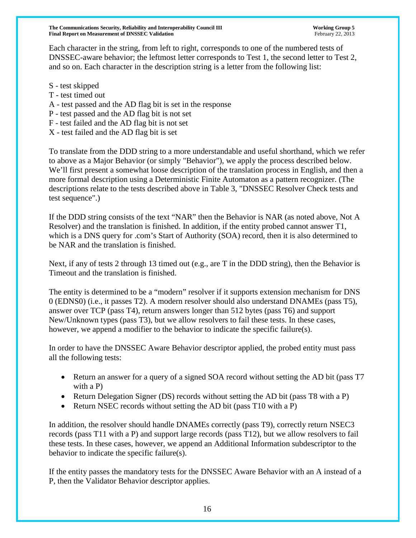Each character in the string, from left to right, corresponds to one of the numbered tests of DNSSEC-aware behavior; the leftmost letter corresponds to Test 1, the second letter to Test 2, and so on. Each character in the description string is a letter from the following list:

- S test skipped
- T test timed out
- A test passed and the AD flag bit is set in the response
- P test passed and the AD flag bit is not set
- F test failed and the AD flag bit is not set
- X test failed and the AD flag bit is set

To translate from the DDD string to a more understandable and useful shorthand, which we refer to above as a Major Behavior (or simply "Behavior"), we apply the process described below. We'll first present a somewhat loose description of the translation process in English, and then a more formal description using a Deterministic Finite Automaton as a pattern recognizer. (The descriptions relate to the tests described above in Table 3, "DNSSEC Resolver Check tests and test sequence".)

If the DDD string consists of the text "NAR" then the Behavior is NAR (as noted above, Not A Resolver) and the translation is finished. In addition, if the entity probed cannot answer T1, which is a DNS query for .com's Start of Authority (SOA) record, then it is also determined to be NAR and the translation is finished.

Next, if any of tests 2 through 13 timed out (e.g., are T in the DDD string), then the Behavior is Timeout and the translation is finished.

The entity is determined to be a "modern" resolver if it supports extension mechanism for DNS 0 (EDNS0) (i.e., it passes T2). A modern resolver should also understand DNAMEs (pass T5), answer over TCP (pass T4), return answers longer than 512 bytes (pass T6) and support New/Unknown types (pass T3), but we allow resolvers to fail these tests. In these cases, however, we append a modifier to the behavior to indicate the specific failure(s).

In order to have the DNSSEC Aware Behavior descriptor applied, the probed entity must pass all the following tests:

- Return an answer for a query of a signed SOA record without setting the AD bit (pass T7 with a P)
- Return Delegation Signer (DS) records without setting the AD bit (pass T8 with a P)
- Return NSEC records without setting the AD bit (pass T10 with a P)

In addition, the resolver should handle DNAMEs correctly (pass T9), correctly return NSEC3 records (pass T11 with a P) and support large records (pass T12), but we allow resolvers to fail these tests. In these cases, however, we append an Additional Information subdescriptor to the behavior to indicate the specific failure(s).

If the entity passes the mandatory tests for the DNSSEC Aware Behavior with an A instead of a P, then the Validator Behavior descriptor applies.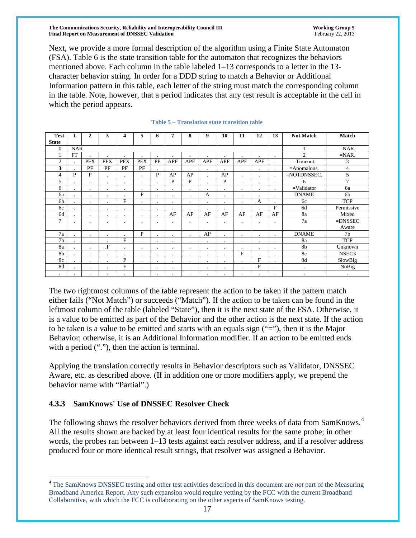Next, we provide a more formal description of the algorithm using a Finite State Automaton (FSA). Table 6 is the state transition table for the automaton that recognizes the behaviors mentioned above. Each column in the table labeled 1–13 corresponds to a letter in the 13 character behavior string. In order for a DDD string to match a Behavior or Additional Information pattern in this table, each letter of the string must match the corresponding column in the table. Note, however, that a period indicates that any test result is acceptable in the cell in which the period appears.

| <b>Test</b>    |                | $\mathbf{2}$   | 3          | $\boldsymbol{4}$ | 5                    | 6         | 7          | 8          | 9          | 10             | 11             | 12         | 13          | <b>Not Match</b> | <b>Match</b>   |
|----------------|----------------|----------------|------------|------------------|----------------------|-----------|------------|------------|------------|----------------|----------------|------------|-------------|------------------|----------------|
| <b>State</b>   |                |                |            |                  |                      |           |            |            |            |                |                |            |             |                  |                |
| $\Omega$       | <b>NAR</b>     |                |            |                  |                      |           |            |            |            |                |                |            |             | 1                | $=NAR$ .       |
|                | FT             |                |            | ٠                | ٠                    |           |            | $\cdot$    | $\cdot$    | ٠              | ٠              |            | $\cdot$     | $\overline{c}$   | $=NAR$ .       |
| $\overline{2}$ | ٠              | <b>PFX</b>     | <b>PFX</b> | <b>PFX</b>       | <b>PFX</b>           | PF        | <b>APF</b> | <b>APF</b> | <b>APF</b> | <b>APF</b>     | <b>APF</b>     | <b>APF</b> | $\cdot$     | $=$ Timeout.     | 3              |
| 3              |                | PF             | PF         | PF               | PF                   |           | $\cdot$    |            | $\bullet$  |                | $\cdot$        | $\cdot$    | $\cdot$     | $=$ Anomalous.   | 4              |
| 4              | P              | P              | $\cdot$    | $\blacksquare$   | $\blacksquare$       | P         | AP         | AP         | $\cdot$    | AP             | $\cdot$        | $\cdot$    | $\cdot$     | =NOTDNSSEC.      | 5              |
| 5              | ٠.             | $\blacksquare$ | ٠          | ٠                | $\blacksquare$       | $\cdot$   | P          | P          |            | P              | ٠              | ٠          | $\cdot$     | 6                | $\tau$         |
| 6              | $\cdot$        | $\cdot$        | $\cdot$    | $\cdot$          | $\cdot$              | $\bullet$ | $\cdot$    | $\cdot$    | $\cdot$    | $\cdot$        | $\cdot$        | $\cdot$    | $\cdot$     | $=$ Validator    | 6a             |
| 6a             |                | $\cdot$        | $\cdot$    | $\blacksquare$   | P                    | $\cdot$   | $\cdot$    | $\cdot$    | A          | $\cdot$        | $\cdot$        | $\cdot$    | $\cdot$     | <b>DNAME</b>     | 6 <sub>b</sub> |
| 6b             | ٠.             | $\cdot$        | ٠          | F                | ٠                    | $\cdot$   | $\bullet$  | $\cdot$    | $\cdot$    | $\bullet$      | $\bullet$      | А          |             | 6c               | <b>TCP</b>     |
| 6c             |                | $\cdot$        |            | $\bullet$        | ٠                    | $\bullet$ | $\cdot$    | $\cdot$    | $\cdot$    | $\blacksquare$ | $\blacksquare$ | ٠          | $\mathbf F$ | 6d               | Permissive     |
| 6d             |                | $\cdot$        | $\cdot$    | $\cdot$          | $\ddot{\phantom{a}}$ | $\cdot$   | AF         | AF         | AF         | AF             | AF             | AF         | AF          | 8a               | Mixed          |
| 7              | $\blacksquare$ | $\blacksquare$ | $\cdot$    | $\blacksquare$   | $\blacksquare$       | $\cdot$   | $\cdot$    | $\cdot$    | $\cdot$    | $\blacksquare$ | ٠              | ٠          | $\cdot$     | 7a               | $=$ DNSSEC     |
|                |                |                |            |                  |                      |           |            |            |            |                |                |            |             |                  | Aware          |
| 7a             |                | $\cdot$        | $\cdot$    | $\blacksquare$   | P                    | $\cdot$   | $\cdot$    | $\cdot$    | AP         | $\cdot$        | $\cdot$        | $\cdot$    | $\cdot$     | <b>DNAME</b>     | 7 <sub>b</sub> |
| 7b             |                | $\cdot$        |            | $\mathbf{F}$     | $\blacksquare$       | $\cdot$   | $\cdot$    | $\cdot$    | $\cdot$    | $\cdot$        | ٠              | ٠          | $\cdot$     | 8a               | <b>TCP</b>     |
| 8a             |                | $\cdot$        | $\Gamma$   | $\bullet$        | ٠                    | $\cdot$   | $\cdot$    | $\cdot$    | $\cdot$    | $\bullet$      | $\cdot$        | $\bullet$  | $\cdot$     | 8b               | Unknown        |
| 8b             |                | $\cdot$        |            | $\bullet$        | $\bullet$            | $\bullet$ | $\bullet$  | $\cdot$    | $\cdot$    | $\bullet$      | $\mathbf{F}$   | $\bullet$  | $\bullet$   | 8c               | NSEC3          |
| 8c             |                | $\cdot$        | $\bullet$  | $\mathbf P$      | $\bullet$            | $\bullet$ | $\bullet$  | $\cdot$    | $\cdot$    | $\cdot$        | $\cdot$        | F          | $\cdot$     | 8d               | SlowBig        |
| 8d             |                | $\cdot$        | ٠          | $\mathbf{F}$     | $\blacksquare$       | $\cdot$   | $\cdot$    | $\cdot$    | $\cdot$    | $\blacksquare$ | $\blacksquare$ | F          | $\cdot$     | $\cdot$          | NoBig          |
| $\blacksquare$ |                | $\blacksquare$ | $\cdot$    | $\blacksquare$   | $\blacksquare$       |           | $\cdot$    | $\cdot$    | $\cdot$    | $\cdot$        | $\blacksquare$ | ٠          | $\cdot$     | $\cdot$          | $\bullet$      |

#### **Table 5 – Translation state transition table**

The two rightmost columns of the table represent the action to be taken if the pattern match either fails ("Not Match") or succeeds ("Match"). If the action to be taken can be found in the leftmost column of the table (labeled "State"), then it is the next state of the FSA. Otherwise, it is a value to be emitted as part of the Behavior and the other action is the next state. If the action to be taken is a value to be emitted and starts with an equals sign ("="), then it is the Major Behavior; otherwise, it is an Additional Information modifier. If an action to be emitted ends with a period ("."), then the action is terminal.

Applying the translation correctly results in Behavior descriptors such as Validator, DNSSEC Aware, etc. as described above. (If in addition one or more modifiers apply, we prepend the behavior name with "Partial".)

#### **4.3.3 SamKnows' Use of DNSSEC Resolver Check**

The following shows the resolver behaviors derived from three weeks of data from SamKnows.<sup>[4](#page-14-0)</sup> All the results shown are backed by at least four identical results for the same probe; in other words, the probes ran between 1–13 tests against each resolver address, and if a resolver address produced four or more identical result strings, that resolver was assigned a Behavior.

 <sup>4</sup> The SamKnows DNSSEC testing and other test activities described in this document are *not* part of the Measuring Broadband America Report. Any such expansion would require vetting by the FCC with the current Broadband Collaborative, with which the FCC is collaborating on the other aspects of SamKnows testing.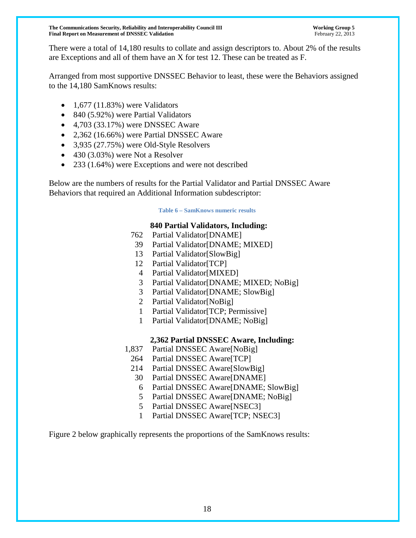There were a total of 14,180 results to collate and assign descriptors to. About 2% of the results are Exceptions and all of them have an X for test 12. These can be treated as F.

Arranged from most supportive DNSSEC Behavior to least, these were the Behaviors assigned to the 14,180 SamKnows results:

- $\bullet$  1,677 (11.83%) were Validators
- 840 (5.92%) were Partial Validators
- $\bullet$  4,703 (33.17%) were DNSSEC Aware
- 2,362 (16.66%) were Partial DNSSEC Aware
- 3,935 (27.75%) were Old-Style Resolvers
- 430 (3.03%) were Not a Resolver
- 233 (1.64%) were Exceptions and were not described

Below are the numbers of results for the Partial Validator and Partial DNSSEC Aware Behaviors that required an Additional Information subdescriptor:

#### **Table 6 – SamKnows numeric results**

### **840 Partial Validators, Including:**

- 762 Partial Validator[DNAME]
- 39 Partial Validator[DNAME; MIXED]
- 13 Partial Validator[SlowBig]
- 12 Partial Validator[TCP]
- 4 Partial Validator[MIXED]
- 3 Partial Validator[DNAME; MIXED; NoBig]
- 3 Partial Validator[DNAME; SlowBig]
- 2 Partial Validator[NoBig]
- 1 Partial Validator[TCP; Permissive]
- 1 Partial Validator[DNAME; NoBig]

# **2,362 Partial DNSSEC Aware, Including:**

- 1,837 Partial DNSSEC Aware[NoBig]
	- 264 Partial DNSSEC Aware[TCP]
	- 214 Partial DNSSEC Aware[SlowBig]
	- 30 Partial DNSSEC Aware[DNAME]
	- 6 Partial DNSSEC Aware[DNAME; SlowBig]
	- 5 Partial DNSSEC Aware[DNAME; NoBig]
	- 5 Partial DNSSEC Aware[NSEC3]
	- 1 Partial DNSSEC Aware[TCP; NSEC3]

Figure 2 below graphically represents the proportions of the SamKnows results: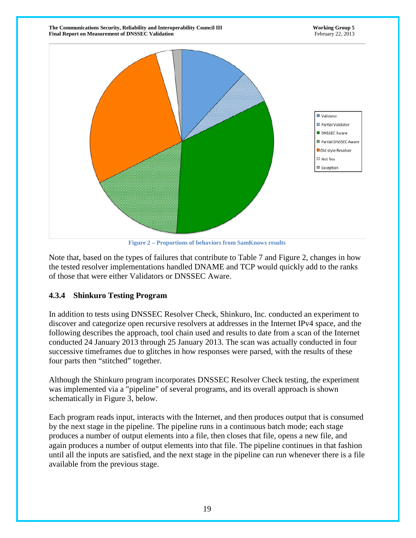

**Figure 2 – Proportions of behaviors from SamKnows results**

Note that, based on the types of failures that contribute to Table 7 and Figure 2, changes in how the tested resolver implementations handled DNAME and TCP would quickly add to the ranks of those that were either Validators or DNSSEC Aware.

#### **4.3.4 Shinkuro Testing Program**

In addition to tests using DNSSEC Resolver Check, Shinkuro, Inc. conducted an experiment to discover and categorize open recursive resolvers at addresses in the Internet IPv4 space, and the following describes the approach, tool chain used and results to date from a scan of the Internet conducted 24 January 2013 through 25 January 2013. The scan was actually conducted in four successive timeframes due to glitches in how responses were parsed, with the results of these four parts then "stitched" together.

Although the Shinkuro program incorporates DNSSEC Resolver Check testing, the experiment was implemented via a "pipeline" of several programs, and its overall approach is shown schematically in Figure 3, below.

Each program reads input, interacts with the Internet, and then produces output that is consumed by the next stage in the pipeline. The pipeline runs in a continuous batch mode; each stage produces a number of output elements into a file, then closes that file, opens a new file, and again produces a number of output elements into that file. The pipeline continues in that fashion until all the inputs are satisfied, and the next stage in the pipeline can run whenever there is a file available from the previous stage.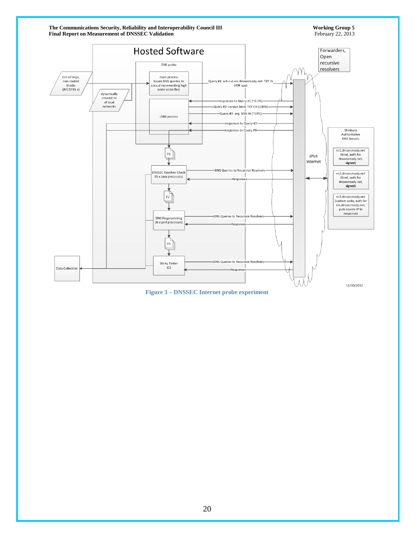

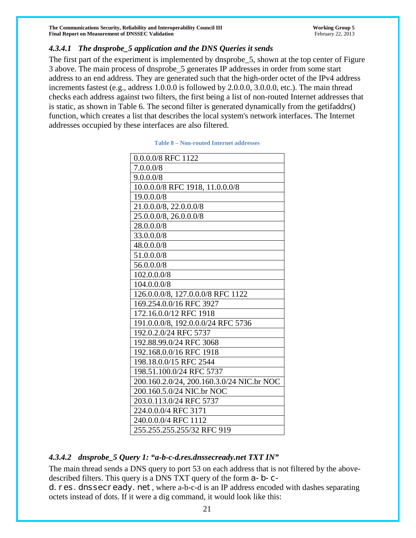#### *4.3.4.1 The dnsprobe\_5 application and the DNS Queries it sends*

<span id="page-20-0"></span>The first part of the experiment is implemented by dnsprobe\_5, shown at the top center of Figure 3 above. The main process of dnsprobe\_5 generates IP addresses in order from some start address to an end address. They are generated such that the high-order octet of the IPv4 address increments fastest (e.g., address 1.0.0.0 is followed by 2.0.0.0, 3.0.0.0, etc.). The main thread checks each address against two filters, the first being a list of non-routed Internet addresses that is static, as shown in [Table 6.](#page-20-0) The second filter is generated dynamically from the getifaddrs() function, which creates a list that describes the local system's network interfaces. The Internet addresses occupied by these interfaces are also filtered.

| 0.0.0.0/8 RFC 1122                        |
|-------------------------------------------|
| 7.0.0.0/8                                 |
| 9.0.0.0/8                                 |
| 10.0.0.0/8 RFC 1918, 11.0.0.0/8           |
| 19.0.0.0/8                                |
| 21.0.0.0/8, 22.0.0.0/8                    |
| 25.0.0.0/8, 26.0.0.0/8                    |
| 28.0.0.0/8                                |
| 33.0.0.0/8                                |
| 48.0.0.0/8                                |
| 51.0.0.0/8                                |
| 56.0.0.0/8                                |
| 102.0.0.0/8                               |
| 104.0.0.0/8                               |
| 126.0.0.0/8, 127.0.0.0/8 RFC 1122         |
| 169.254.0.0/16 RFC 3927                   |
| 172.16.0.0/12 RFC 1918                    |
| 191.0.0.0/8, 192.0.0.0/24 RFC 5736        |
| 192.0.2.0/24 RFC 5737                     |
| 192.88.99.0/24 RFC 3068                   |
| 192.168.0.0/16 RFC 1918                   |
| 198.18.0.0/15 RFC 2544                    |
| 198.51.100.0/24 RFC 5737                  |
| 200.160.2.0/24, 200.160.3.0/24 NIC.br NOC |
| 200.160.5.0/24 NIC.br NOC                 |
| 203.0.113.0/24 RFC 5737                   |
| 224.0.0.0/4 RFC 3171                      |
| 240.0.0.0/4 RFC 1112                      |
| 255.255.255.255/32 RFC 919                |

#### **Table 8 – Non-routed Internet addresses**

#### *4.3.4.2 dnsprobe\_5 Query 1: "a-b-c-d.res.dnssecready.net TXT IN"*

The main thread sends a DNS query to port 53 on each address that is not filtered by the abovedescribed filters. This query is a DNS TXT query of the form a-b-c-

d. res. dnssecready. net, where a-b-c-d is an IP address encoded with dashes separating octets instead of dots. If it were a dig command, it would look like this: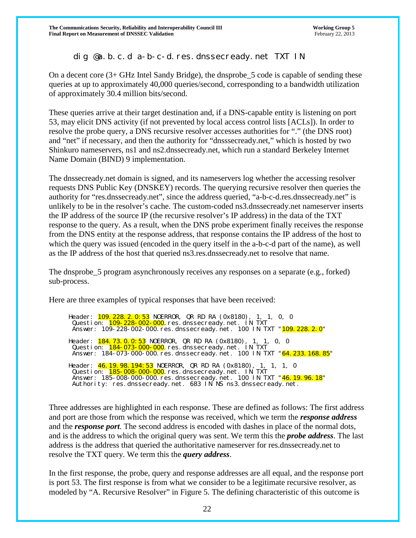# dig @a.b.c.d a-b-c-d.res.dnssecready.net TXT IN

On a decent core (3+ GHz Intel Sandy Bridge), the dnsprobe\_5 code is capable of sending these queries at up to approximately 40,000 queries/second, corresponding to a bandwidth utilization of approximately 30.4 million bits/second.

These queries arrive at their target destination and, if a DNS-capable entity is listening on port 53, may elicit DNS activity (if not prevented by local access control lists [ACLs]). In order to resolve the probe query, a DNS recursive resolver accesses authorities for "." (the DNS root) and "net" if necessary, and then the authority for "dnsssecready.net," which is hosted by two Shinkuro nameservers, ns1 and ns2.dnssecready.net, which run a standard Berkeley Internet Name Domain (BIND) 9 implementation.

The dnssecready.net domain is signed, and its nameservers log whether the accessing resolver requests DNS Public Key (DNSKEY) records. The querying recursive resolver then queries the authority for "res.dnssecready.net", since the address queried, "a-b-c-d.res.dnssecready.net" is unlikely to be in the resolver's cache. The custom-coded ns3.dnssecready.net nameserver inserts the IP address of the source IP (the recursive resolver's IP address) in the data of the TXT response to the query. As a result, when the DNS probe experiment finally receives the response from the DNS entity at the response address, that response contains the IP address of the host to which the query was issued (encoded in the query itself in the a-b-c-d part of the name), as well as the IP address of the host that queried ns3.res.dnssecready.net to resolve that name.

The dnsprobe\_5 program asynchronously receives any responses on a separate (e.g., forked) sub-process.

Here are three examples of typical responses that have been received:

Header: <mark>109.228.2.0:53</mark> NOERROR, QR RD RA (0x8180), 1, 1, 0, 0 Question: <mark>109-228-002-000</mark>.res.dnssecready.net. IN TXT Answer: 109-228-002-000.res.dnssecready.net. 100 IN TXT "<mark>109.228.2.0</mark>" Header: **184.73.0.0:53** NOERROR, QR RD RA (0x8180), 1, 1, 0, 0 Question: 184-073-000-000.res.dnssecready.net. IN TXT Answer: 184-073-000-000.res.dnssecready.net. 100 IN TXT "64.233.168.85" Header: <mark>46.19.98.194:53</mark> NOERROR, QR RD RA (0x8180), 1, 1, 1, 0 Question: <mark>185-008-000-000</mark>.res.dnssecready.net. IN TXT Answer: 185-008-000-000.res.dnssecready.net. 100 IN TXT "46.19.96.18" Authority: res.dnssecready.net. 683 IN NS ns3.dnssecready.net.

Three addresses are highlighted in each response. These are defined as follows: The first address and port are those from which the response was received, which we term the *response address* and the *response port*. The second address is encoded with dashes in place of the normal dots, and is the address to which the original query was sent. We term this the *probe address*. The last address is the address that queried the authoritative nameserver for res.dnssecready.net to resolve the TXT query. We term this the *query address*.

In the first response, the probe, query and response addresses are all equal, and the response port is port 53. The first response is from what we consider to be a legitimate recursive resolver, as modeled by "A. Recursive Resolver" in Figure 5. The defining characteristic of this outcome is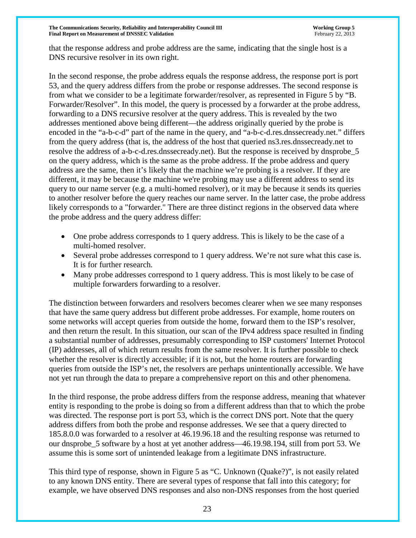that the response address and probe address are the same, indicating that the single host is a DNS recursive resolver in its own right.

In the second response, the probe address equals the response address, the response port is port 53, and the query address differs from the probe or response addresses. The second response is from what we consider to be a legitimate forwarder/resolver, as represented in Figure 5 by "B. Forwarder/Resolver". In this model, the query is processed by a forwarder at the probe address, forwarding to a DNS recursive resolver at the query address. This is revealed by the two addresses mentioned above being different—the address originally queried by the probe is encoded in the "a-b-c-d" part of the name in the query, and "a-b-c-d.res.dnssecready.net." differs from the query address (that is, the address of the host that queried ns3.res.dnssecready.net to resolve the address of a-b-c-d.res.dnssecready.net). But the response is received by dnsprobe\_5 on the query address, which is the same as the probe address. If the probe address and query address are the same, then it's likely that the machine we're probing is a resolver. If they are different, it may be because the machine we're probing may use a different address to send its query to our name server (e.g. a multi-homed resolver), or it may be because it sends its queries to another resolver before the query reaches our name server. In the latter case, the probe address likely corresponds to a "forwarder." There are three distinct regions in the observed data where the probe address and the query address differ:

- One probe address corresponds to 1 query address. This is likely to be the case of a multi-homed resolver.
- Several probe addresses correspond to 1 query address. We're not sure what this case is. It is for further research.
- Many probe addresses correspond to 1 query address. This is most likely to be case of multiple forwarders forwarding to a resolver.

The distinction between forwarders and resolvers becomes clearer when we see many responses that have the same query address but different probe addresses. For example, home routers on some networks will accept queries from outside the home, forward them to the ISP's resolver, and then return the result. In this situation, our scan of the IPv4 address space resulted in finding a substantial number of addresses, presumably corresponding to ISP customers' Internet Protocol (IP) addresses, all of which return results from the same resolver. It is further possible to check whether the resolver is directly accessible; if it is not, but the home routers are forwarding queries from outside the ISP's net, the resolvers are perhaps unintentionally accessible. We have not yet run through the data to prepare a comprehensive report on this and other phenomena.

In the third response, the probe address differs from the response address, meaning that whatever entity is responding to the probe is doing so from a different address than that to which the probe was directed. The response port is port 53, which is the correct DNS port. Note that the query address differs from both the probe and response addresses. We see that a query directed to 185.8.0.0 was forwarded to a resolver at 46.19.96.18 and the resulting response was returned to our dnsprobe\_5 software by a host at yet another address—46.19.98.194, still from port 53. We assume this is some sort of unintended leakage from a legitimate DNS infrastructure.

This third type of response, shown in Figure 5 as "C. Unknown (Quake?)", is not easily related to any known DNS entity. There are several types of response that fall into this category; for example, we have observed DNS responses and also non-DNS responses from the host queried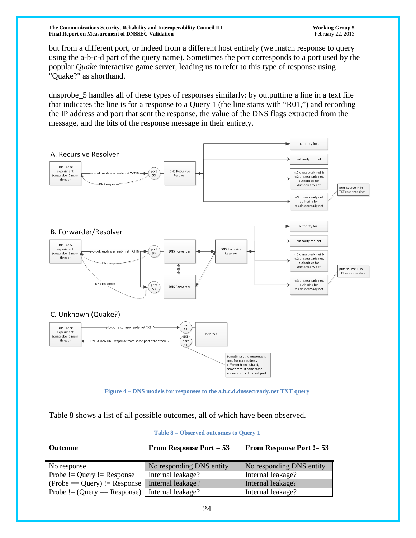but from a different port, or indeed from a different host entirely (we match response to query using the a-b-c-d part of the query name). Sometimes the port corresponds to a port used by the popular *Quake* interactive game server, leading us to refer to this type of response using "Quake?" as shorthand.

dnsprobe\_5 handles all of these types of responses similarly: by outputting a line in a text file that indicates the line is for a response to a Query 1 (the line starts with "R01,") and recording the IP address and port that sent the response, the value of the DNS flags extracted from the message, and the bits of the response message in their entirety.



**Figure 4 – DNS models for responses to the a.b.c.d.dnssecready.net TXT query**

<span id="page-23-0"></span>Table 8 shows a list of all possible outcomes, all of which have been observed.

**Table 8 – Observed outcomes to Query 1**

| $\sim$ 0.000 $\sim$                                | $\blacksquare$           |                          |
|----------------------------------------------------|--------------------------|--------------------------|
| No response                                        | No responding DNS entity | No responding DNS entity |
| Probe $!=$ Query $!=$ Response                     | Internal leakage?        | Internal leakage?        |
| $(Probe == Query) != Response   Internal leakage?$ |                          | Internal leakage?        |
| Probe $!=$ (Query = Response)   Internal leakage?  |                          | Internal leakage?        |

**Outcome From Response Port = 53 From Response Port != 53**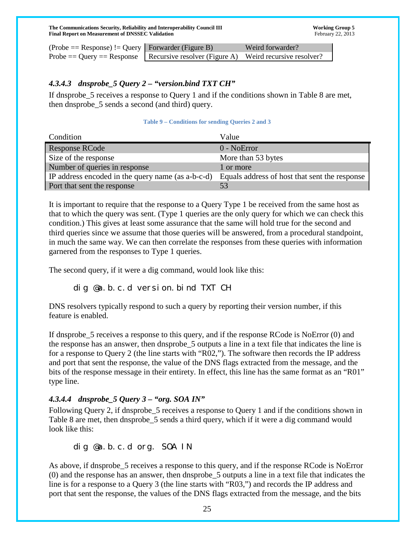| $(Probe == Response) != Query   Forwarder (Figure B)$ |                                                                                        | Weird forwarder? |
|-------------------------------------------------------|----------------------------------------------------------------------------------------|------------------|
|                                                       | Probe $=$ Query $=$ Response   Recursive resolver (Figure A) Weird recursive resolver? |                  |

#### *4.3.4.3 dnsprobe\_5 Query 2 – "version.bind TXT CH"*

If dnsprobe\_5 receives a response to Query 1 and if the conditions shown in [Table 8](#page-24-0) are met, then dnsprobe\_5 sends a second (and third) query.

#### **Table 9 – Conditions for sending Queries 2 and 3**

<span id="page-24-0"></span>

| Condition                                         | Value                                         |
|---------------------------------------------------|-----------------------------------------------|
| <b>Response RCode</b>                             | $0 - NoError$                                 |
| Size of the response                              | More than 53 bytes                            |
| Number of queries in response                     | 1 or more                                     |
| IP address encoded in the query name (as a-b-c-d) | Equals address of host that sent the response |
| Port that sent the response                       | 53                                            |

It is important to require that the response to a Query Type 1 be received from the same host as that to which the query was sent. (Type 1 queries are the only query for which we can check this condition.) This gives at least some assurance that the same will hold true for the second and third queries since we assume that those queries will be answered, from a procedural standpoint, in much the same way. We can then correlate the responses from these queries with information garnered from the responses to Type 1 queries.

The second query, if it were a dig command, would look like this:

# dig @a.b.c.d version.bind TXT CH

DNS resolvers typically respond to such a query by reporting their version number, if this feature is enabled.

If dnsprobe 5 receives a response to this query, and if the response RCode is NoError (0) and the response has an answer, then dnsprobe\_5 outputs a line in a text file that indicates the line is for a response to Query 2 (the line starts with "R02,"). The software then records the IP address and port that sent the response, the value of the DNS flags extracted from the message, and the bits of the response message in their entirety. In effect, this line has the same format as an "R01" type line.

# *4.3.4.4 dnsprobe\_5 Query 3 – "org. SOA IN"*

Following Query 2, if dnsprobe\_5 receives a response to Query 1 and if the conditions shown in [Table 8](#page-24-0) are met, then dnsprobe\_5 sends a third query, which if it were a dig command would look like this:

# dig @a.b.c.d org. SOA IN

As above, if dnsprobe\_5 receives a response to this query, and if the response RCode is NoError (0) and the response has an answer, then dnsprobe\_5 outputs a line in a text file that indicates the line is for a response to a Query 3 (the line starts with "R03,") and records the IP address and port that sent the response, the values of the DNS flags extracted from the message, and the bits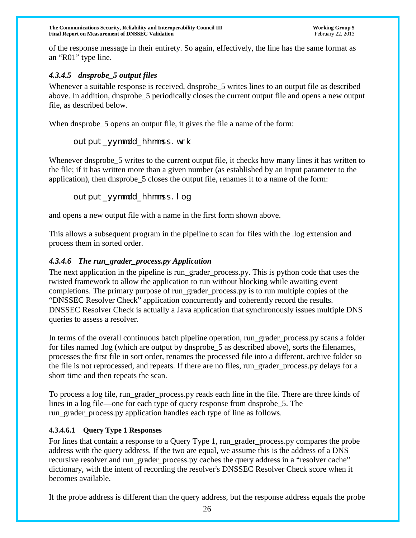of the response message in their entirety. So again, effectively, the line has the same format as an "R01" type line.

# *4.3.4.5 dnsprobe\_5 output files*

Whenever a suitable response is received, dnsprobe 5 writes lines to an output file as described above. In addition, dnsprobe\_5 periodically closes the current output file and opens a new output file, as described below.

When dnsprobe 5 opens an output file, it gives the file a name of the form:

# output\_yymmdd\_hhmmss.wrk

Whenever dnsprobe\_5 writes to the current output file, it checks how many lines it has written to the file; if it has written more than a given number (as established by an input parameter to the application), then dnsprobe\_5 closes the output file, renames it to a name of the form:

### output\_yymmdd\_hhmmss.log

and opens a new output file with a name in the first form shown above.

This allows a subsequent program in the pipeline to scan for files with the .log extension and process them in sorted order.

### *4.3.4.6 The run\_grader\_process.py Application*

The next application in the pipeline is run\_grader\_process.py. This is python code that uses the twisted framework to allow the application to run without blocking while awaiting event completions. The primary purpose of run\_grader\_process.py is to run multiple copies of the "DNSSEC Resolver Check" application concurrently and coherently record the results. DNSSEC Resolver Check is actually a Java application that synchronously issues multiple DNS queries to assess a resolver.

In terms of the overall continuous batch pipeline operation, run\_grader\_process.py scans a folder for files named .log (which are output by dnsprobe\_5 as described above), sorts the filenames, processes the first file in sort order, renames the processed file into a different, archive folder so the file is not reprocessed, and repeats. If there are no files, run\_grader\_process.py delays for a short time and then repeats the scan.

To process a log file, run\_grader\_process.py reads each line in the file. There are three kinds of lines in a log file—one for each type of query response from dnsprobe\_5. The run\_grader\_process.py application handles each type of line as follows.

#### **4.3.4.6.1 Query Type 1 Responses**

For lines that contain a response to a Query Type 1, run\_grader\_process.py compares the probe address with the query address. If the two are equal, we assume this is the address of a DNS recursive resolver and run\_grader\_process.py caches the query address in a "resolver cache" dictionary, with the intent of recording the resolver's DNSSEC Resolver Check score when it becomes available.

If the probe address is different than the query address, but the response address equals the probe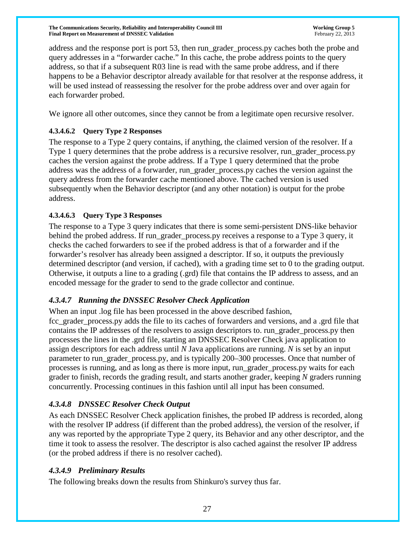address and the response port is port 53, then run\_grader\_process.py caches both the probe and query addresses in a "forwarder cache." In this cache, the probe address points to the query address, so that if a subsequent R03 line is read with the same probe address, and if there happens to be a Behavior descriptor already available for that resolver at the response address, it will be used instead of reassessing the resolver for the probe address over and over again for each forwarder probed.

We ignore all other outcomes, since they cannot be from a legitimate open recursive resolver.

### **4.3.4.6.2 Query Type 2 Responses**

The response to a Type 2 query contains, if anything, the claimed version of the resolver. If a Type 1 query determines that the probe address is a recursive resolver, run\_grader\_process.py caches the version against the probe address. If a Type 1 query determined that the probe address was the address of a forwarder, run\_grader\_process.py caches the version against the query address from the forwarder cache mentioned above. The cached version is used subsequently when the Behavior descriptor (and any other notation) is output for the probe address.

#### **4.3.4.6.3 Query Type 3 Responses**

The response to a Type 3 query indicates that there is some semi-persistent DNS-like behavior behind the probed address. If run\_grader\_process.py receives a response to a Type 3 query, it checks the cached forwarders to see if the probed address is that of a forwarder and if the forwarder's resolver has already been assigned a descriptor. If so, it outputs the previously determined descriptor (and version, if cached), with a grading time set to 0 to the grading output. Otherwise, it outputs a line to a grading (.grd) file that contains the IP address to assess, and an encoded message for the grader to send to the grade collector and continue.

# *4.3.4.7 Running the DNSSEC Resolver Check Application*

When an input .log file has been processed in the above described fashion,

fcc\_grader\_process.py adds the file to its caches of forwarders and versions, and a .grd file that contains the IP addresses of the resolvers to assign descriptors to. run\_grader\_process.py then processes the lines in the .grd file, starting an DNSSEC Resolver Check java application to assign descriptors for each address until *N* Java applications are running. *N* is set by an input parameter to run\_grader\_process.py, and is typically 200–300 processes. Once that number of processes is running, and as long as there is more input, run\_grader\_process.py waits for each grader to finish, records the grading result, and starts another grader, keeping *N* graders running concurrently. Processing continues in this fashion until all input has been consumed.

# *4.3.4.8 DNSSEC Resolver Check Output*

As each DNSSEC Resolver Check application finishes, the probed IP address is recorded, along with the resolver IP address (if different than the probed address), the version of the resolver, if any was reported by the appropriate Type 2 query, its Behavior and any other descriptor, and the time it took to assess the resolver. The descriptor is also cached against the resolver IP address (or the probed address if there is no resolver cached).

# *4.3.4.9 Preliminary Results*

The following breaks down the results from Shinkuro's survey thus far.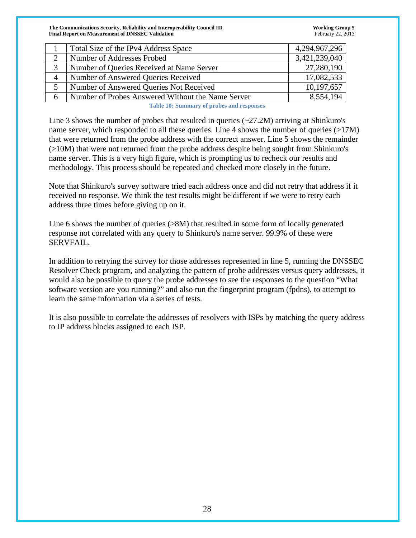|   | Total Size of the IPv4 Address Space              | 4,294,967,296 |
|---|---------------------------------------------------|---------------|
|   | Number of Addresses Probed                        | 3,421,239,040 |
|   | Number of Queries Received at Name Server         | 27,280,190    |
| 4 | Number of Answered Queries Received               | 17,082,533    |
|   | Number of Answered Queries Not Received           | 10,197,657    |
| 6 | Number of Probes Answered Without the Name Server | 8,554,194     |

**Table 10: Summary of probes and responses**

Line 3 shows the number of probes that resulted in queries  $(\sim 27.2M)$  arriving at Shinkuro's name server, which responded to all these queries. Line 4 shows the number of queries (>17M) that were returned from the probe address with the correct answer. Line 5 shows the remainder (>10M) that were not returned from the probe address despite being sought from Shinkuro's name server. This is a very high figure, which is prompting us to recheck our results and methodology. This process should be repeated and checked more closely in the future.

Note that Shinkuro's survey software tried each address once and did not retry that address if it received no response. We think the test results might be different if we were to retry each address three times before giving up on it.

Line 6 shows the number of queries (>8M) that resulted in some form of locally generated response not correlated with any query to Shinkuro's name server. 99.9% of these were SERVFAIL.

In addition to retrying the survey for those addresses represented in line 5, running the DNSSEC Resolver Check program, and analyzing the pattern of probe addresses versus query addresses, it would also be possible to query the probe addresses to see the responses to the question "What software version are you running?" and also run the fingerprint program (fpdns), to attempt to learn the same information via a series of tests.

It is also possible to correlate the addresses of resolvers with ISPs by matching the query address to IP address blocks assigned to each ISP.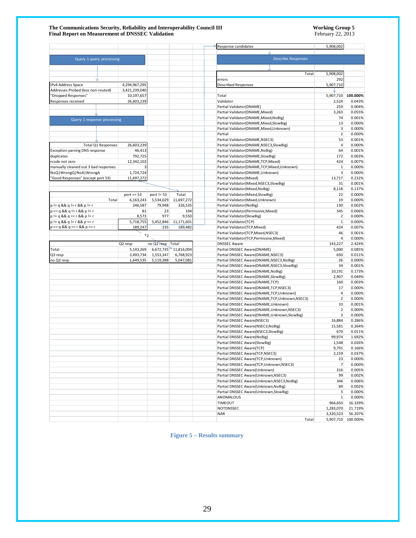#### **The Communications Security, Reliability and Interoperability Council III Working Group 5 Final Report on Measurement of DNSSEC Validation** February 22, 2013

|                                                                  |                         |                  |                        | Response candidates<br>5,908,002                                                     |                                   |
|------------------------------------------------------------------|-------------------------|------------------|------------------------|--------------------------------------------------------------------------------------|-----------------------------------|
|                                                                  |                         |                  |                        |                                                                                      |                                   |
| Query 1 query processing                                         |                         |                  |                        | <b>Describe Responses</b>                                                            |                                   |
|                                                                  |                         |                  |                        |                                                                                      |                                   |
|                                                                  |                         |                  |                        | 5,908,002<br>Total                                                                   |                                   |
|                                                                  |                         |                  |                        | errors<br>292                                                                        |                                   |
| IPv4 Address Space                                               | 4,294,967,295           |                  |                        | <b>Described Responses</b><br>5,907,710                                              |                                   |
| Addresses Probed (less non-routed)                               | 3,421,239,040           |                  |                        |                                                                                      |                                   |
| "Dropped Responses"                                              | 10,197,657              |                  |                        | Total<br>5,907,710                                                                   | 100.000%                          |
| Responses received                                               | 26,603,239              |                  |                        | Validator<br>2,524                                                                   | 0.043%                            |
|                                                                  |                         |                  |                        | Partial Validator(DNAME)                                                             | 259<br>0.004%                     |
|                                                                  |                         |                  |                        | Partial Validator(DNAME, Mixed)<br>3,263                                             | 0.055%                            |
| Query 1 response processing                                      |                         |                  |                        | Partial Validator(DNAME, Mixed, NoBig)                                               | 74<br>0.001%<br>13<br>0.000%      |
|                                                                  |                         |                  |                        | Partial Validator(DNAME, Mixed, SlowBig)<br>Partial Validator(DNAME, Mixed, Unknown) | $\mathsf 3$<br>0.000%             |
|                                                                  |                         |                  |                        | Partial                                                                              | $\overline{2}$<br>0.000%          |
|                                                                  |                         |                  |                        | Partial Validator(DNAME,NSEC3)                                                       | 53<br>0.001%                      |
| Total Q1 Responses                                               | 26,603,239              |                  |                        | Partial Validator(DNAME,NSEC3,SlowBig)                                               | $\overline{4}$<br>0.000%          |
| <b>Exception parsing DNS response</b>                            | 46,413                  |                  |                        | Partial Validator(DNAME, NoBig)                                                      | 64<br>0.001%                      |
| duplicates                                                       | 792,725                 |                  |                        | Partial Validator(DNAME,SlowBig)                                                     | 172<br>0.003%                     |
| rcode not zero                                                   | 12,342,102              |                  |                        | Partial Validator(DNAME,TCP,Mixed)                                                   | 424<br>0.007%                     |
| manually cleaned out 3 bad responses                             | 3                       |                  |                        | Partial Validator(DNAME,TCP,Mixed,Unknown)                                           | $1\,$<br>0.000%                   |
| NoQ   WrongQ   NoA   WrongA<br>"Good Responses" (except port 53) | 1,724,724<br>11,697,272 |                  |                        | Partial Validator(DNAME, Unknown)<br>Partial Validator(Mixed)<br>13,717              | 3<br>0.000%<br>0.232%             |
|                                                                  |                         |                  |                        | Partial Validator(Mixed,NSEC3,SlowBig)                                               | 31<br>0.001%                      |
|                                                                  |                         |                  |                        | Partial Validator(Mixed, NoBig)<br>8,118                                             | 0.137%                            |
|                                                                  | port $== 53$            | port != 53       | Total                  | Partial Validator(Mixed,SlowBig)                                                     | 22<br>0.000%                      |
| Total                                                            | 6,163,243               | 5,534,029        | 11,697,272             | Partial Validator(Mixed,Unknown)                                                     | 19<br>0.000%                      |
| $p := q & g q = r & g q$                                         | 246,587                 | 79,948           | 326,535                | Partial Validator(NoBig)                                                             | 130<br>0.002%                     |
| $p == q & Q q != r & Q p != r$                                   | 81                      | 23               | 104                    | Partial Validator(Permissive, Mixed)                                                 | 345<br>0.006%                     |
| $p := q & g g q == r & g g p != r$                               | 8,573                   | 977              | 9,550                  | Partial Validator(SlowBig)                                                           | $\overline{2}$<br>0.000%          |
| $p = q & g g q = r & g g p == r$                                 | 5,718,755               | 5,452,846        | 11,171,601             | Partial Validator(TCP)                                                               | $\mathbf 1$<br>0.000%             |
| $p == q & 8 & q == r & 8 & p == r$                               | 189,247                 | 235              | 189,482                | Partial Validator(TCP, Mixed)                                                        | 424<br>0.007%<br>46<br>0.001%     |
|                                                                  | $^\ast 2$               |                  |                        | Partial Validator(TCP, Mixed, NSEC3)<br>Partial Validator(TCP,Permissive,Mixed)      | $\overline{4}$<br>0.000%          |
|                                                                  | Q2 resp                 | no Q2 resp Total |                        | <b>DNSSEC Aware</b><br>143,227                                                       | 2.424%                            |
| Total                                                            | 5,143,269               |                  | $6,672,735$ 11,816,004 | 5,000<br>Partial DNSSEC Aware(DNAME)                                                 | 0.085%                            |
| Q3 resp                                                          | 3,493,734               | 1,553,347        | 6,768,923              | Partial DNSSEC Aware(DNAME, NSEC3)                                                   | 650<br>0.011%                     |
| no Q3 resp                                                       | 1,649,535               | 5,119,388        | 5,047,081              | Partial DNSSEC Aware(DNAME, NSEC3, NoBig)                                            | 0.000%<br>26                      |
|                                                                  |                         |                  |                        | Partial DNSSEC Aware(DNAME,NSEC3,SlowBig)                                            | 34<br>0.001%                      |
|                                                                  |                         |                  |                        | Partial DNSSEC Aware(DNAME, NoBig)<br>10,191                                         | 0.173%                            |
|                                                                  |                         |                  |                        | Partial DNSSEC Aware(DNAME,SlowBig)<br>2,907                                         | 0.049%                            |
|                                                                  |                         |                  |                        | Partial DNSSEC Aware(DNAME,TCP)<br>Partial DNSSEC Aware(DNAME,TCP,NSEC3)             | 160<br>0.003%<br>17<br>0.000%     |
|                                                                  |                         |                  |                        | Partial DNSSEC Aware(DNAME,TCP,Unknown)                                              | $\overline{a}$<br>0.000%          |
|                                                                  |                         |                  |                        | Partial DNSSEC Aware(DNAME,TCP,Unknown,NSEC3)                                        | $\overline{2}$<br>0.000%          |
|                                                                  |                         |                  |                        | Partial DNSSEC Aware(DNAME, Unknown)                                                 | 33<br>0.001%                      |
|                                                                  |                         |                  |                        | Partial DNSSEC Aware(DNAME, Unknown, NSEC3)                                          | $\overline{2}$<br>0.000%          |
|                                                                  |                         |                  |                        | Partial DNSSEC Aware(DNAME, Unknown, SlowBig)                                        | 3<br>0.000%                       |
|                                                                  |                         |                  |                        | 16,884<br>Partial DNSSEC Aware(NSEC3)                                                | 0.286%                            |
|                                                                  |                         |                  |                        | Partial DNSSEC Aware(NSEC3, NoBig)<br>15,581                                         | 0.264%                            |
|                                                                  |                         |                  |                        | Partial DNSSEC Aware(NSEC3,SlowBig)                                                  | 670<br>0.011%                     |
|                                                                  |                         |                  |                        | Partial DNSSEC Aware(NoBig)<br>99,974<br>Partial DNSSEC Aware(SlowBig)<br>1,548      | 1.692%<br>0.026%                  |
|                                                                  |                         |                  |                        | Partial DNSSEC Aware(TCP)<br>9,791                                                   | 0.166%                            |
|                                                                  |                         |                  |                        | Partial DNSSEC Aware(TCP,NSEC3)<br>2,159                                             | 0.037%                            |
|                                                                  |                         |                  |                        | Partial DNSSEC Aware(TCP,Unknown)                                                    | 23<br>0.000%                      |
|                                                                  |                         |                  |                        | Partial DNSSEC Aware(TCP,Unknown,NSEC3)                                              | $\overline{7}$<br>0.000%          |
|                                                                  |                         |                  |                        | Partial DNSSEC Aware(Unknown)                                                        | 0.005%<br>316                     |
|                                                                  |                         |                  |                        | Partial DNSSEC Aware(Unknown, NSEC3)                                                 | 0.002%<br>99                      |
|                                                                  |                         |                  |                        | Partial DNSSEC Aware(Unknown,NSEC3,NoBig)                                            | 346<br>0.006%                     |
|                                                                  |                         |                  |                        | Partial DNSSEC Aware(Unknown, NoBig)                                                 | 0.002%<br>89                      |
|                                                                  |                         |                  |                        | Partial DNSSEC Aware(Unknown,SlowBig)                                                | $5\overline{5}$<br>0.000%         |
|                                                                  |                         |                  |                        | ANOMALOUS<br>TIMEOUT<br>964,650                                                      | 0.000%<br>$\mathbf{1}$<br>16.329% |
|                                                                  |                         |                  |                        | NOTDNSSEC<br>1,283,070                                                               | 21.719%                           |
|                                                                  |                         |                  |                        | 3,320,523<br>NAR                                                                     | 56.207%                           |
|                                                                  |                         |                  |                        | Total                                                                                | 5,907,710 100.000%                |

**Figure 5 – Results summary**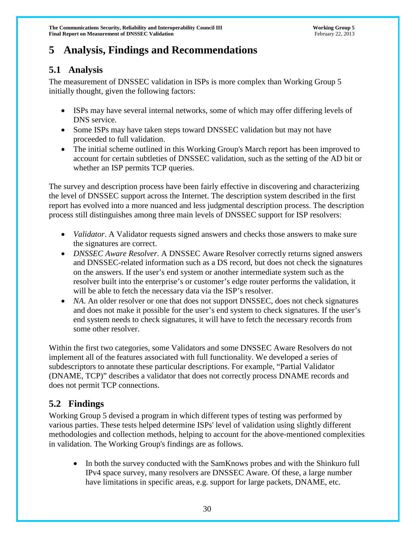# **5 Analysis, Findings and Recommendations**

# **5.1 Analysis**

The measurement of DNSSEC validation in ISPs is more complex than Working Group 5 initially thought, given the following factors:

- ISPs may have several internal networks, some of which may offer differing levels of DNS service.
- Some ISPs may have taken steps toward DNSSEC validation but may not have proceeded to full validation.
- The initial scheme outlined in this Working Group's March report has been improved to account for certain subtleties of DNSSEC validation, such as the setting of the AD bit or whether an ISP permits TCP queries.

The survey and description process have been fairly effective in discovering and characterizing the level of DNSSEC support across the Internet. The description system described in the first report has evolved into a more nuanced and less judgmental description process. The description process still distinguishes among three main levels of DNSSEC support for ISP resolvers:

- *Validator*. A Validator requests signed answers and checks those answers to make sure the signatures are correct.
- *DNSSEC Aware Resolver*. A DNSSEC Aware Resolver correctly returns signed answers and DNSSEC-related information such as a DS record, but does not check the signatures on the answers. If the user's end system or another intermediate system such as the resolver built into the enterprise's or customer's edge router performs the validation, it will be able to fetch the necessary data via the ISP's resolver.
- *NA*. An older resolver or one that does not support DNSSEC, does not check signatures and does not make it possible for the user's end system to check signatures. If the user's end system needs to check signatures, it will have to fetch the necessary records from some other resolver.

Within the first two categories, some Validators and some DNSSEC Aware Resolvers do not implement all of the features associated with full functionality. We developed a series of subdescriptors to annotate these particular descriptions. For example, "Partial Validator (DNAME, TCP)" describes a validator that does not correctly process DNAME records and does not permit TCP connections.

# **5.2 Findings**

Working Group 5 devised a program in which different types of testing was performed by various parties. These tests helped determine ISPs' level of validation using slightly different methodologies and collection methods, helping to account for the above-mentioned complexities in validation. The Working Group's findings are as follows.

• In both the survey conducted with the SamKnows probes and with the Shinkuro full IPv4 space survey, many resolvers are DNSSEC Aware. Of these, a large number have limitations in specific areas, e.g. support for large packets, DNAME, etc.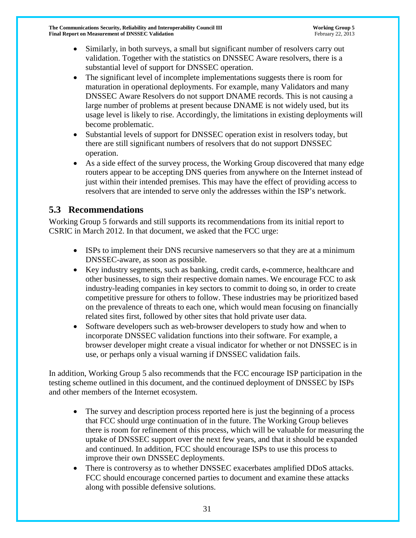- Similarly, in both surveys, a small but significant number of resolvers carry out validation. Together with the statistics on DNSSEC Aware resolvers, there is a substantial level of support for DNSSEC operation.
- The significant level of incomplete implementations suggests there is room for maturation in operational deployments. For example, many Validators and many DNSSEC Aware Resolvers do not support DNAME records. This is not causing a large number of problems at present because DNAME is not widely used, but its usage level is likely to rise. Accordingly, the limitations in existing deployments will become problematic.
- Substantial levels of support for DNSSEC operation exist in resolvers today, but there are still significant numbers of resolvers that do not support DNSSEC operation.
- As a side effect of the survey process, the Working Group discovered that many edge routers appear to be accepting DNS queries from anywhere on the Internet instead of just within their intended premises. This may have the effect of providing access to resolvers that are intended to serve only the addresses within the ISP's network.

# **5.3 Recommendations**

Working Group 5 forwards and still supports its recommendations from its initial report to CSRIC in March 2012. In that document, we asked that the FCC urge:

- ISPs to implement their DNS recursive nameservers so that they are at a minimum DNSSEC-aware, as soon as possible.
- Key industry segments, such as banking, credit cards, e-commerce, healthcare and other businesses, to sign their respective domain names. We encourage FCC to ask industry-leading companies in key sectors to commit to doing so, in order to create competitive pressure for others to follow. These industries may be prioritized based on the prevalence of threats to each one, which would mean focusing on financially related sites first, followed by other sites that hold private user data.
- Software developers such as web-browser developers to study how and when to incorporate DNSSEC validation functions into their software. For example, a browser developer might create a visual indicator for whether or not DNSSEC is in use, or perhaps only a visual warning if DNSSEC validation fails.

In addition, Working Group 5 also recommends that the FCC encourage ISP participation in the testing scheme outlined in this document, and the continued deployment of DNSSEC by ISPs and other members of the Internet ecosystem.

- The survey and description process reported here is just the beginning of a process that FCC should urge continuation of in the future. The Working Group believes there is room for refinement of this process, which will be valuable for measuring the uptake of DNSSEC support over the next few years, and that it should be expanded and continued. In addition, FCC should encourage ISPs to use this process to improve their own DNSSEC deployments.
- There is controversy as to whether DNSSEC exacerbates amplified DDoS attacks. FCC should encourage concerned parties to document and examine these attacks along with possible defensive solutions.